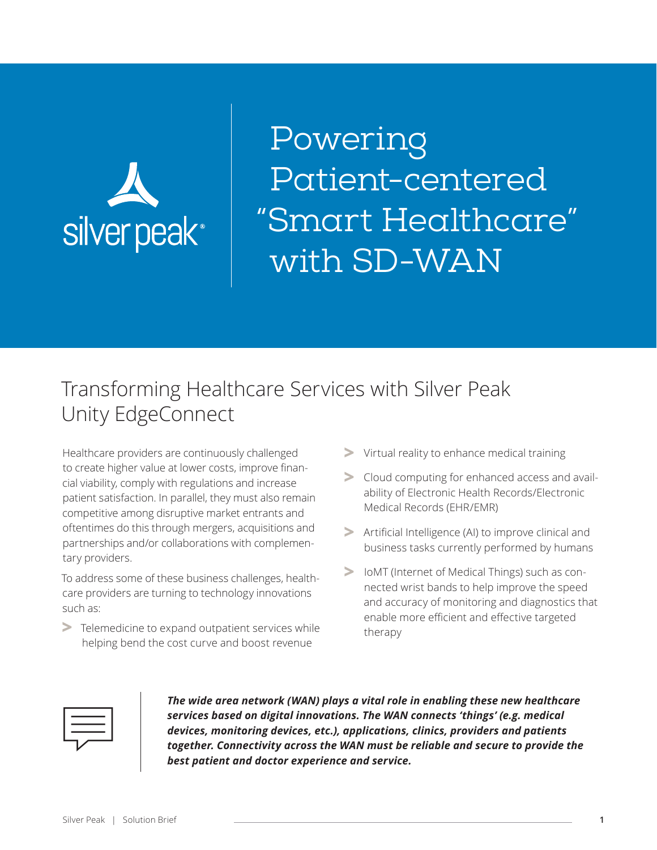

Powering Patient-centered "Smart Healthcare" with SD-WAN

# Transforming Healthcare Services with Silver Peak Unity EdgeConnect

Healthcare providers are continuously challenged to create higher value at lower costs, improve financial viability, comply with regulations and increase patient satisfaction. In parallel, they must also remain competitive among disruptive market entrants and oftentimes do this through mergers, acquisitions and partnerships and/or collaborations with complementary providers.

To address some of these business challenges, healthcare providers are turning to technology innovations such as:

**>** Telemedicine to expand outpatient services while helping bend the cost curve and boost revenue

- **>** Virtual reality to enhance medical training
- **>** Cloud computing for enhanced access and availability of Electronic Health Records/Electronic Medical Records (EHR/EMR)
- **>** Artificial Intelligence (AI) to improve clinical and business tasks currently performed by humans
- **>** IoMT (Internet of Medical Things) such as connected wrist bands to help improve the speed and accuracy of monitoring and diagnostics that enable more efficient and effective targeted therapy



*The wide area network (WAN) plays a vital role in enabling these new healthcare services based on digital innovations. The WAN connects 'things' (e.g. medical devices, monitoring devices, etc.), applications, clinics, providers and patients together. Connectivity across the WAN must be reliable and secure to provide the best patient and doctor experience and service.*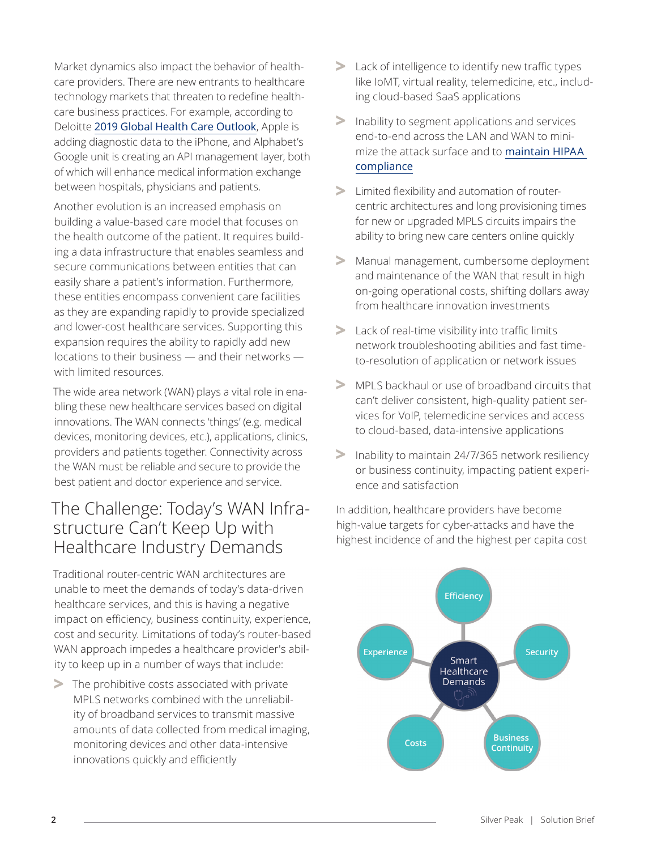Market dynamics also impact the behavior of healthcare providers. There are new entrants to healthcare technology markets that threaten to redefine healthcare business practices. For example, according to Deloitte [2019 Global Health Care Outlook](https://www2.deloitte.com/content/dam/Deloitte/global/Documents/Life-Sciences-Health-Care/gx-lshc-hc-outlook-2019.pdf), Apple is adding diagnostic data to the iPhone, and Alphabet's Google unit is creating an API management layer, both of which will enhance medical information exchange between hospitals, physicians and patients.

Another evolution is an increased emphasis on building a value-based care model that focuses on the health outcome of the patient. It requires building a data infrastructure that enables seamless and secure communications between entities that can easily share a patient's information. Furthermore, these entities encompass convenient care facilities as they are expanding rapidly to provide specialized and lower-cost healthcare services. Supporting this expansion requires the ability to rapidly add new locations to their business — and their networks with limited resources.

The wide area network (WAN) plays a vital role in enabling these new healthcare services based on digital innovations. The WAN connects 'things' (e.g. medical devices, monitoring devices, etc.), applications, clinics, providers and patients together. Connectivity across the WAN must be reliable and secure to provide the best patient and doctor experience and service.

## The Challenge: Today's WAN Infrastructure Can't Keep Up with Healthcare Industry Demands

Traditional router-centric WAN architectures are unable to meet the demands of today's data-driven healthcare services, and this is having a negative impact on efficiency, business continuity, experience, cost and security. Limitations of today's router-based WAN approach impedes a healthcare provider's ability to keep up in a number of ways that include:

**>** The prohibitive costs associated with private MPLS networks combined with the unreliability of broadband services to transmit massive amounts of data collected from medical imaging, monitoring devices and other data-intensive innovations quickly and efficiently

- **>** Lack of intelligence to identify new traffic types like IoMT, virtual reality, telemedicine, etc., including cloud-based SaaS applications
- **>** Inability to segment applications and services end-to-end across the LAN and WAN to minimize the attack surface and to [maintain HIPAA](https://www.silver-peak.com/resource-center/hipaa-compliance-delivering-privacy-and-security-ephi-business-driven-sd-wan)  [compliance](https://www.silver-peak.com/resource-center/hipaa-compliance-delivering-privacy-and-security-ephi-business-driven-sd-wan)
- **>** Limited flexibility and automation of routercentric architectures and long provisioning times for new or upgraded MPLS circuits impairs the ability to bring new care centers online quickly
- **>** Manual management, cumbersome deployment and maintenance of the WAN that result in high on-going operational costs, shifting dollars away from healthcare innovation investments
- **>** Lack of real-time visibility into traffic limits network troubleshooting abilities and fast timeto-resolution of application or network issues
- **>** MPLS backhaul or use of broadband circuits that can't deliver consistent, high-quality patient services for VoIP, telemedicine services and access to cloud-based, data-intensive applications
- **>** Inability to maintain 24/7/365 network resiliency or business continuity, impacting patient experience and satisfaction

In addition, healthcare providers have become high-value targets for cyber-attacks and have the highest incidence of and the highest per capita cost

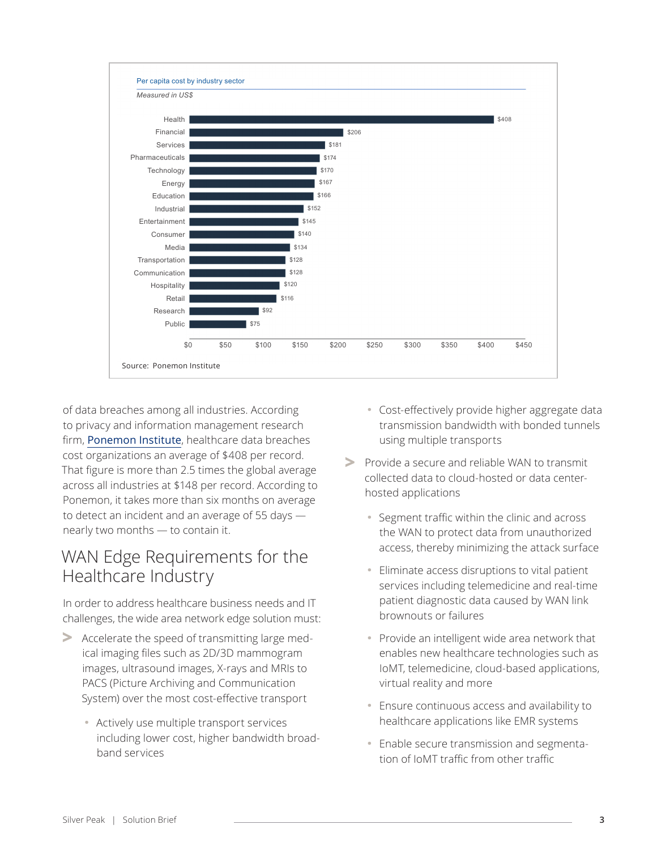

of data breaches among all industries. According to privacy and information management research firm, [Ponemon Institute](https://healthitsecurity.com/news/healthcare-data-breach-costs-remain-highest-among-industries), healthcare data breaches cost organizations an average of \$408 per record. That figure is more than 2.5 times the global average across all industries at \$148 per record. According to Ponemon, it takes more than six months on average to detect an incident and an average of 55 days nearly two months — to contain it.

# WAN Edge Requirements for the Healthcare Industry

In order to address healthcare business needs and IT challenges, the wide area network edge solution must:

- **>** Accelerate the speed of transmitting large medical imaging files such as 2D/3D mammogram images, ultrasound images, X-rays and MRIs to PACS (Picture Archiving and Communication System) over the most cost-effective transport
	- **·** Actively use multiple transport services including lower cost, higher bandwidth broadband services
- **·** Cost-effectively provide higher aggregate data transmission bandwidth with bonded tunnels using multiple transports
- **>** Provide a secure and reliable WAN to transmit collected data to cloud-hosted or data centerhosted applications
	- **·** Segment traffic within the clinic and across the WAN to protect data from unauthorized access, thereby minimizing the attack surface
	- **·** Eliminate access disruptions to vital patient services including telemedicine and real-time patient diagnostic data caused by WAN link brownouts or failures
	- **·** Provide an intelligent wide area network that enables new healthcare technologies such as IoMT, telemedicine, cloud-based applications, virtual reality and more
	- **·** Ensure continuous access and availability to healthcare applications like EMR systems
	- **·** Enable secure transmission and segmentation of IoMT traffic from other traffic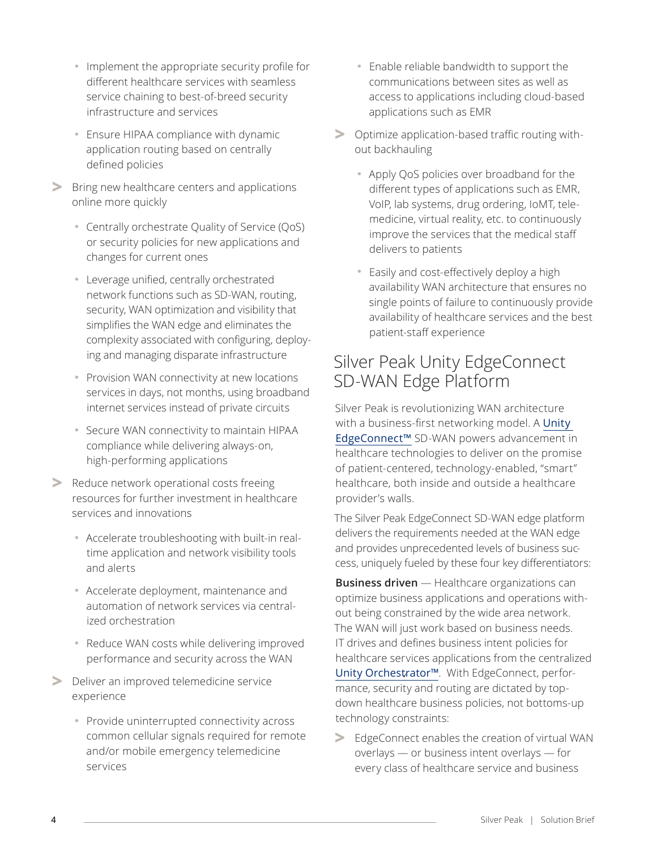- **·** Implement the appropriate security profile for different healthcare services with seamless service chaining to best-of-breed security infrastructure and services
- **·** Ensure HIPAA compliance with dynamic application routing based on centrally defined policies
- **>** Bring new healthcare centers and applications online more quickly
	- **·** Centrally orchestrate Quality of Service (QoS) or security policies for new applications and changes for current ones
	- **·** Leverage unified, centrally orchestrated network functions such as SD-WAN, routing, security, WAN optimization and visibility that simplifies the WAN edge and eliminates the complexity associated with configuring, deploying and managing disparate infrastructure
	- **·** Provision WAN connectivity at new locations services in days, not months, using broadband internet services instead of private circuits
	- **·** Secure WAN connectivity to maintain HIPAA compliance while delivering always-on, high-performing applications
- **>** Reduce network operational costs freeing resources for further investment in healthcare services and innovations
	- **·** Accelerate troubleshooting with built-in realtime application and network visibility tools and alerts
	- **·** Accelerate deployment, maintenance and automation of network services via centralized orchestration
	- **·** Reduce WAN costs while delivering improved performance and security across the WAN
- **>** Deliver an improved telemedicine service experience
	- **·** Provide uninterrupted connectivity across common cellular signals required for remote and/or mobile emergency telemedicine services
- **·** Enable reliable bandwidth to support the communications between sites as well as access to applications including cloud-based applications such as EMR
- **>** Optimize application-based traffic routing without backhauling
	- **·** Apply QoS policies over broadband for the different types of applications such as EMR, VoIP, lab systems, drug ordering, IoMT, telemedicine, virtual reality, etc. to continuously improve the services that the medical staff delivers to patients
	- **·** Easily and cost-effectively deploy a high availability WAN architecture that ensures no single points of failure to continuously provide availability of healthcare services and the best patient-staff experience

# Silver Peak Unity EdgeConnect SD-WAN Edge Platform

Silver Peak is revolutionizing WAN architecture with a business-first networking model. A [Unity](https://www.silver-peak.com/products/unity-edge-connect)  [EdgeConnect™](https://www.silver-peak.com/products/unity-edge-connect) SD-WAN powers advancement in healthcare technologies to deliver on the promise of patient-centered, technology-enabled, "smart" healthcare, both inside and outside a healthcare provider's walls.

The Silver Peak EdgeConnect SD-WAN edge platform delivers the requirements needed at the WAN edge and provides unprecedented levels of business success, uniquely fueled by these four key differentiators:

**Business driven** — Healthcare organizations can optimize business applications and operations without being constrained by the wide area network. The WAN will just work based on business needs. IT drives and defines business intent policies for healthcare services applications from the centralized [Unity Orchestrator™](https://www.silver-peak.com/products/unity-orchestrator). With EdgeConnect, performance, security and routing are dictated by topdown healthcare business policies, not bottoms-up technology constraints:

**>** EdgeConnect enables the creation of virtual WAN overlays — or business intent overlays — for every class of healthcare service and business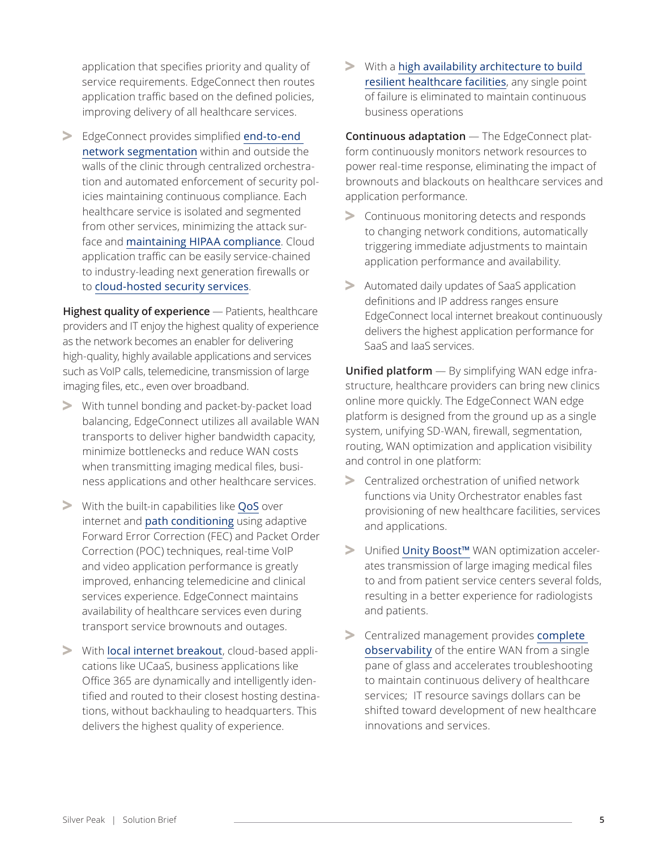application that specifies priority and quality of service requirements. EdgeConnect then routes application traffic based on the defined policies, improving delivery of all healthcare services.

**>** EdgeConnect provides simplified [end-to-end](https://www.silver-peak.com/resource-center/centrally-orchestrated-end-end-segmentation)  [network segmentation](https://www.silver-peak.com/resource-center/centrally-orchestrated-end-end-segmentation) within and outside the walls of the clinic through centralized orchestration and automated enforcement of security policies maintaining continuous compliance. Each healthcare service is isolated and segmented from other services, minimizing the attack surface and [maintaining HIPAA compliance](https://www.silver-peak.com/resource-center/hipaa-compliance-delivering-privacy-and-security-ephi-business-driven-sd-wan). Cloud application traffic can be easily service-chained to industry-leading next generation firewalls or to [cloud-hosted security services](https://www.silver-peak.com/resource-center/zscaler-and-silver-peak-solution-brief).

**Highest quality of experience** — Patients, healthcare providers and IT enjoy the highest quality of experience as the network becomes an enabler for delivering high-quality, highly available applications and services such as VoIP calls, telemedicine, transmission of large imaging files, etc., even over broadband.

- **>** With tunnel bonding and packet-by-packet load balancing, EdgeConnect utilizes all available WAN transports to deliver higher bandwidth capacity, minimize bottlenecks and reduce WAN costs when transmitting imaging medical files, business applications and other healthcare services.
- **>** With the built-in capabilities like [QoS](https://www.silver-peak.com/resource-center/case-quality-service-qos) over internet and [path conditioning](https://www.silver-peak.com/products/unity-edge-connect/path-conditioning) using adaptive Forward Error Correction (FEC) and Packet Order Correction (POC) techniques, real-time VoIP and video application performance is greatly improved, enhancing telemedicine and clinical services experience. EdgeConnect maintains availability of healthcare services even during transport service brownouts and outages.
- **>** With [local internet breakout](https://www.silver-peak.com/products/unity-edge-connect/first-packet-iq), cloud-based applications like UCaaS, business applications like Office 365 are dynamically and intelligently identified and routed to their closest hosting destinations, without backhauling to headquarters. This delivers the highest quality of experience.

**>** With a [high availability architecture to build](https://www.silver-peak.com/resource-center/building-resilient-branch)  [resilient healthcare facilities](https://www.silver-peak.com/resource-center/building-resilient-branch), any single point of failure is eliminated to maintain continuous business operations

**Continuous adaptation** — The EdgeConnect platform continuously monitors network resources to power real-time response, eliminating the impact of brownouts and blackouts on healthcare services and application performance.

- **>** Continuous monitoring detects and responds to changing network conditions, automatically triggering immediate adjustments to maintain application performance and availability.
- **>** Automated daily updates of SaaS application definitions and IP address ranges ensure EdgeConnect local internet breakout continuously delivers the highest application performance for SaaS and IaaS services.

**Unified platform** — By simplifying WAN edge infrastructure, healthcare providers can bring new clinics online more quickly. The EdgeConnect WAN edge platform is designed from the ground up as a single system, unifying SD-WAN, firewall, segmentation, routing, WAN optimization and application visibility and control in one platform:

- **>** Centralized orchestration of unified network functions via Unity Orchestrator enables fast provisioning of new healthcare facilities, services and applications.
- **>** Unified [Unity Boost™](https://www.silver-peak.com/products/unity-boost) WAN optimization accelerates transmission of large imaging medical files to and from patient service centers several folds, resulting in a better experience for radiologists and patients.
- **>** Centralized management provides [complete](https://www.silver-peak.com/resource-center/simplify-sd-wan-operations-greater-visibility)  [observability](https://www.silver-peak.com/resource-center/simplify-sd-wan-operations-greater-visibility) of the entire WAN from a single pane of glass and accelerates troubleshooting to maintain continuous delivery of healthcare services; IT resource savings dollars can be shifted toward development of new healthcare innovations and services.